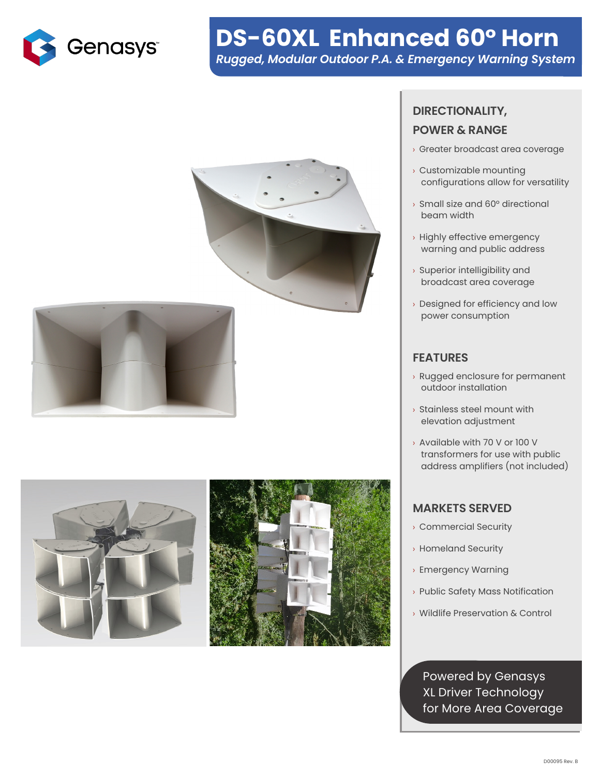

# **DS-60XL Enhanced 60° Horn** *Rugged, Modular Outdoor P.A. & Emergency Warning System*









## **DIRECTIONALITY, POWER & RANGE**

- › Greater broadcast area coverage
- › Customizable mounting configurations allow for versatility
- › Small size and 60° directional beam width
- › Highly effective emergency warning and public address
- › Superior intelligibility and broadcast area coverage
- › Designed for efficiency and low power consumption

### **FEATURES**

- › Rugged enclosure for permanent outdoor installation
- › Stainless steel mount with elevation adjustment
- › Available with 70 V or 100 V transformers for use with public address amplifiers (not included)

#### **MARKETS SERVED**

- › Commercial Security
- › Homeland Security
- › Emergency Warning
- › Public Safety Mass Notification
- › Wildlife Preservation & Control

Powered by Genasys XL Driver Technology for More Area Coverage